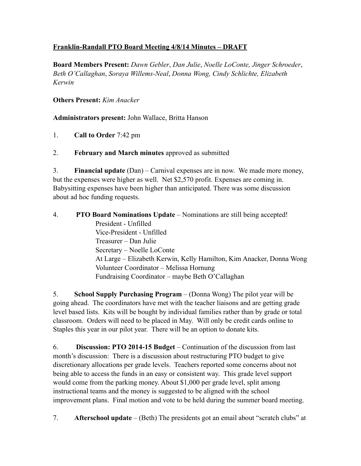## **Franklin-Randall PTO Board Meeting 4/8/14 Minutes – DRAFT**

**Board Members Present:** *Dawn Gebler*, *Dan Julie*, *Noelle LoConte, Jinger Schroeder*, *Beth O'Callaghan*, *Soraya Willems-Neal*, *Donna Wong, Cindy Schlichte, Elizabeth Kerwin*

**Others Present:** *Kim Anacker*

**Administrators present:** John Wallace, Britta Hanson

1. **Call to Order** 7:42 pm

2. **February and March minutes** approved as submitted

3. **Financial update** (Dan) – Carnival expenses are in now. We made more money, but the expenses were higher as well. Net \$2,570 profit. Expenses are coming in. Babysitting expenses have been higher than anticipated. There was some discussion about ad hoc funding requests.

4. **PTO Board Nominations Update** – Nominations are still being accepted! President - Unfilled Vice-President - Unfilled Treasurer – Dan Julie Secretary – Noelle LoConte At Large – Elizabeth Kerwin, Kelly Hamilton, Kim Anacker, Donna Wong Volunteer Coordinator – Melissa Hornung Fundraising Coordinator – maybe Beth O'Callaghan

5. **School Supply Purchasing Program** – (Donna Wong) The pilot year will be going ahead. The coordinators have met with the teacher liaisons and are getting grade level based lists. Kits will be bought by individual families rather than by grade or total classroom. Orders will need to be placed in May. Will only be credit cards online to Staples this year in our pilot year. There will be an option to donate kits.

6. **Discussion: PTO 2014-15 Budget** – Continuation of the discussion from last month's discussion: There is a discussion about restructuring PTO budget to give discretionary allocations per grade levels. Teachers reported some concerns about not being able to access the funds in an easy or consistent way. This grade level support would come from the parking money. About \$1,000 per grade level, split among instructional teams and the money is suggested to be aligned with the school improvement plans. Final motion and vote to be held during the summer board meeting.

7. **Afterschool update** – (Beth) The presidents got an email about "scratch clubs" at